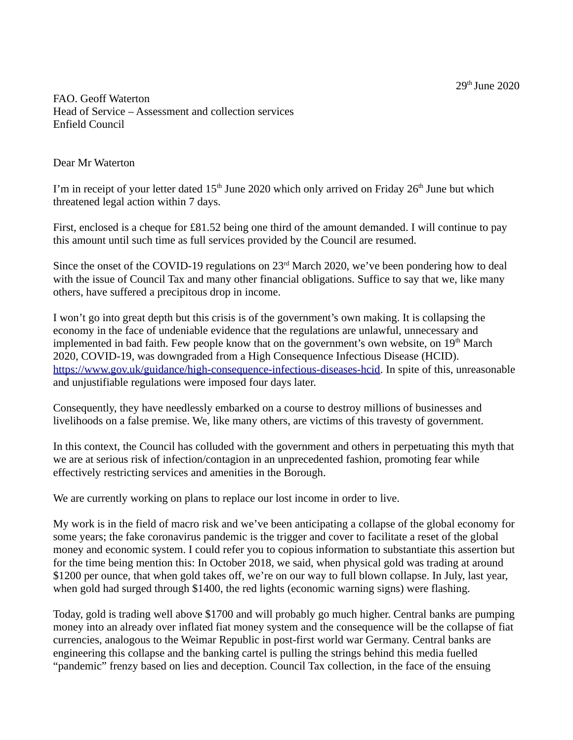FAO. Geoff Waterton Head of Service – Assessment and collection services Enfield Council

## Dear Mr Waterton

I'm in receipt of your letter dated  $15<sup>th</sup>$  June 2020 which only arrived on Friday 26<sup>th</sup> June but which threatened legal action within 7 days.

First, enclosed is a cheque for £81.52 being one third of the amount demanded. I will continue to pay this amount until such time as full services provided by the Council are resumed.

Since the onset of the COVID-19 regulations on  $23<sup>rd</sup>$  March 2020, we've been pondering how to deal with the issue of Council Tax and many other financial obligations. Suffice to say that we, like many others, have suffered a precipitous drop in income.

I won't go into great depth but this crisis is of the government's own making. It is collapsing the economy in the face of undeniable evidence that the regulations are unlawful, unnecessary and implemented in bad faith. Few people know that on the government's own website, on  $19<sup>th</sup>$  March 2020, COVID-19, was downgraded from a High Consequence Infectious Disease (HCID). [https://www.gov.uk/guidance/high-consequence-infectious-diseases-hcid.](https://www.gov.uk/guidance/high-consequence-infectious-diseases-hcid) In spite of this, unreasonable and unjustifiable regulations were imposed four days later.

Consequently, they have needlessly embarked on a course to destroy millions of businesses and livelihoods on a false premise. We, like many others, are victims of this travesty of government.

In this context, the Council has colluded with the government and others in perpetuating this myth that we are at serious risk of infection/contagion in an unprecedented fashion, promoting fear while effectively restricting services and amenities in the Borough.

We are currently working on plans to replace our lost income in order to live.

My work is in the field of macro risk and we've been anticipating a collapse of the global economy for some years; the fake coronavirus pandemic is the trigger and cover to facilitate a reset of the global money and economic system. I could refer you to copious information to substantiate this assertion but for the time being mention this: In October 2018, we said, when physical gold was trading at around \$1200 per ounce, that when gold takes off, we're on our way to full blown collapse. In July, last year, when gold had surged through \$1400, the red lights (economic warning signs) were flashing.

Today, gold is trading well above \$1700 and will probably go much higher. Central banks are pumping money into an already over inflated fiat money system and the consequence will be the collapse of fiat currencies, analogous to the Weimar Republic in post-first world war Germany. Central banks are engineering this collapse and the banking cartel is pulling the strings behind this media fuelled "pandemic" frenzy based on lies and deception. Council Tax collection, in the face of the ensuing